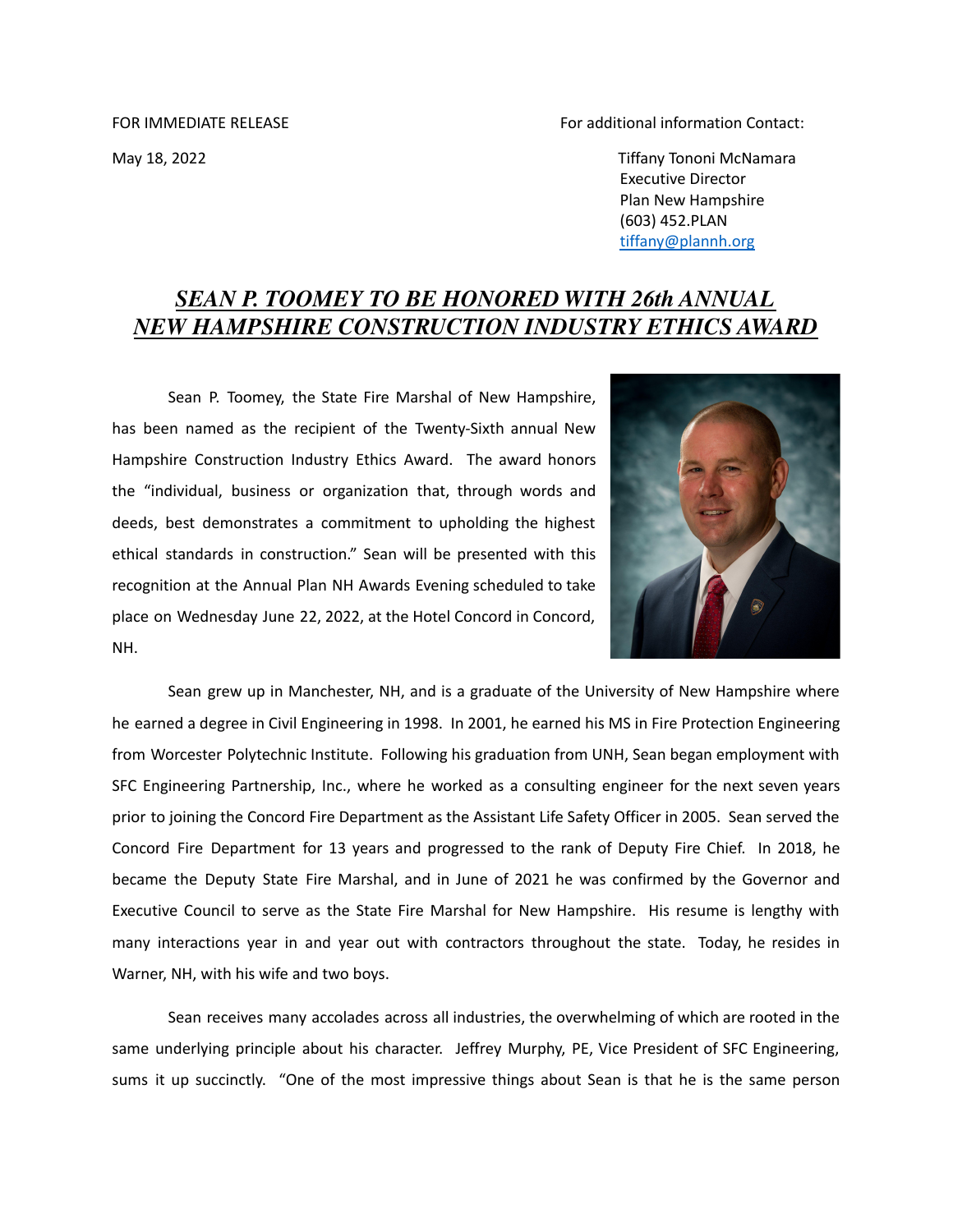FOR IMMEDIATE RELEASE FOR IMMEDIATE RELEASE FOR IMMEDIATE RELEASE

May 18, 2022 Tiffany Tononi McNamara Executive Director Plan New Hampshire (603) 452.PLAN [tiffany@plannh.org](mailto:tiffany@plannh.org)

## *SEAN P. TOOMEY TO BE HONORED WITH 26th ANNUAL NEW HAMPSHIRE CONSTRUCTION INDUSTRY ETHICS AWARD*

Sean P. Toomey, the State Fire Marshal of New Hampshire, has been named as the recipient of the Twenty-Sixth annual New Hampshire Construction Industry Ethics Award. The award honors the "individual, business or organization that, through words and deeds, best demonstrates a commitment to upholding the highest ethical standards in construction." Sean will be presented with this recognition at the Annual Plan NH Awards Evening scheduled to take place on Wednesday June 22, 2022, at the Hotel Concord in Concord, NH.



Sean grew up in Manchester, NH, and is a graduate of the University of New Hampshire where he earned a degree in Civil Engineering in 1998. In 2001, he earned his MS in Fire Protection Engineering from Worcester Polytechnic Institute. Following his graduation from UNH, Sean began employment with SFC Engineering Partnership, Inc., where he worked as a consulting engineer for the next seven years prior to joining the Concord Fire Department as the Assistant Life Safety Officer in 2005. Sean served the Concord Fire Department for 13 years and progressed to the rank of Deputy Fire Chief. In 2018, he became the Deputy State Fire Marshal, and in June of 2021 he was confirmed by the Governor and Executive Council to serve as the State Fire Marshal for New Hampshire. His resume is lengthy with many interactions year in and year out with contractors throughout the state. Today, he resides in Warner, NH, with his wife and two boys.

Sean receives many accolades across all industries, the overwhelming of which are rooted in the same underlying principle about his character. Jeffrey Murphy, PE, Vice President of SFC Engineering, sums it up succinctly. "One of the most impressive things about Sean is that he is the same person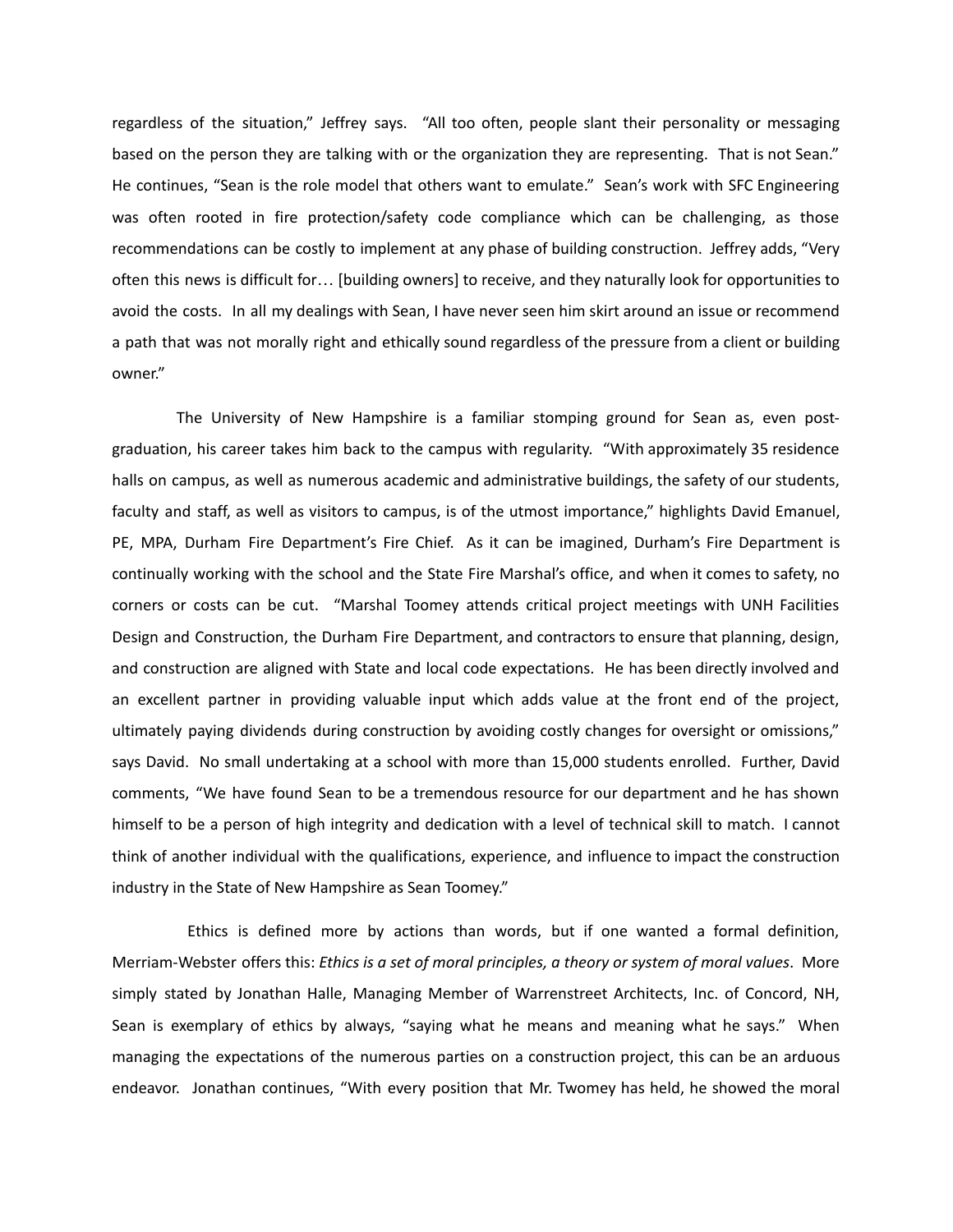regardless of the situation," Jeffrey says. "All too often, people slant their personality or messaging based on the person they are talking with or the organization they are representing. That is not Sean." He continues, "Sean is the role model that others want to emulate." Sean's work with SFC Engineering was often rooted in fire protection/safety code compliance which can be challenging, as those recommendations can be costly to implement at any phase of building construction. Jeffrey adds, "Very often this news is difficult for… [building owners] to receive, and they naturally look for opportunities to avoid the costs. In all my dealings with Sean, I have never seen him skirt around an issue or recommend a path that was not morally right and ethically sound regardless of the pressure from a client or building owner."

The University of New Hampshire is a familiar stomping ground for Sean as, even postgraduation, his career takes him back to the campus with regularity. "With approximately 35 residence halls on campus, as well as numerous academic and administrative buildings, the safety of our students, faculty and staff, as well as visitors to campus, is of the utmost importance," highlights David Emanuel, PE, MPA, Durham Fire Department's Fire Chief. As it can be imagined, Durham's Fire Department is continually working with the school and the State Fire Marshal's office, and when it comes to safety, no corners or costs can be cut. "Marshal Toomey attends critical project meetings with UNH Facilities Design and Construction, the Durham Fire Department, and contractors to ensure that planning, design, and construction are aligned with State and local code expectations. He has been directly involved and an excellent partner in providing valuable input which adds value at the front end of the project, ultimately paying dividends during construction by avoiding costly changes for oversight or omissions," says David. No small undertaking at a school with more than 15,000 students enrolled. Further, David comments, "We have found Sean to be a tremendous resource for our department and he has shown himself to be a person of high integrity and dedication with a level of technical skill to match. I cannot think of another individual with the qualifications, experience, and influence to impact the construction industry in the State of New Hampshire as Sean Toomey."

Ethics is defined more by actions than words, but if one wanted a formal definition, Merriam-Webster offers this: *Ethics is a set of moral principles, a theory or system of moral values*. More simply stated by Jonathan Halle, Managing Member of Warrenstreet Architects, Inc. of Concord, NH, Sean is exemplary of ethics by always, "saying what he means and meaning what he says." When managing the expectations of the numerous parties on a construction project, this can be an arduous endeavor. Jonathan continues, "With every position that Mr. Twomey has held, he showed the moral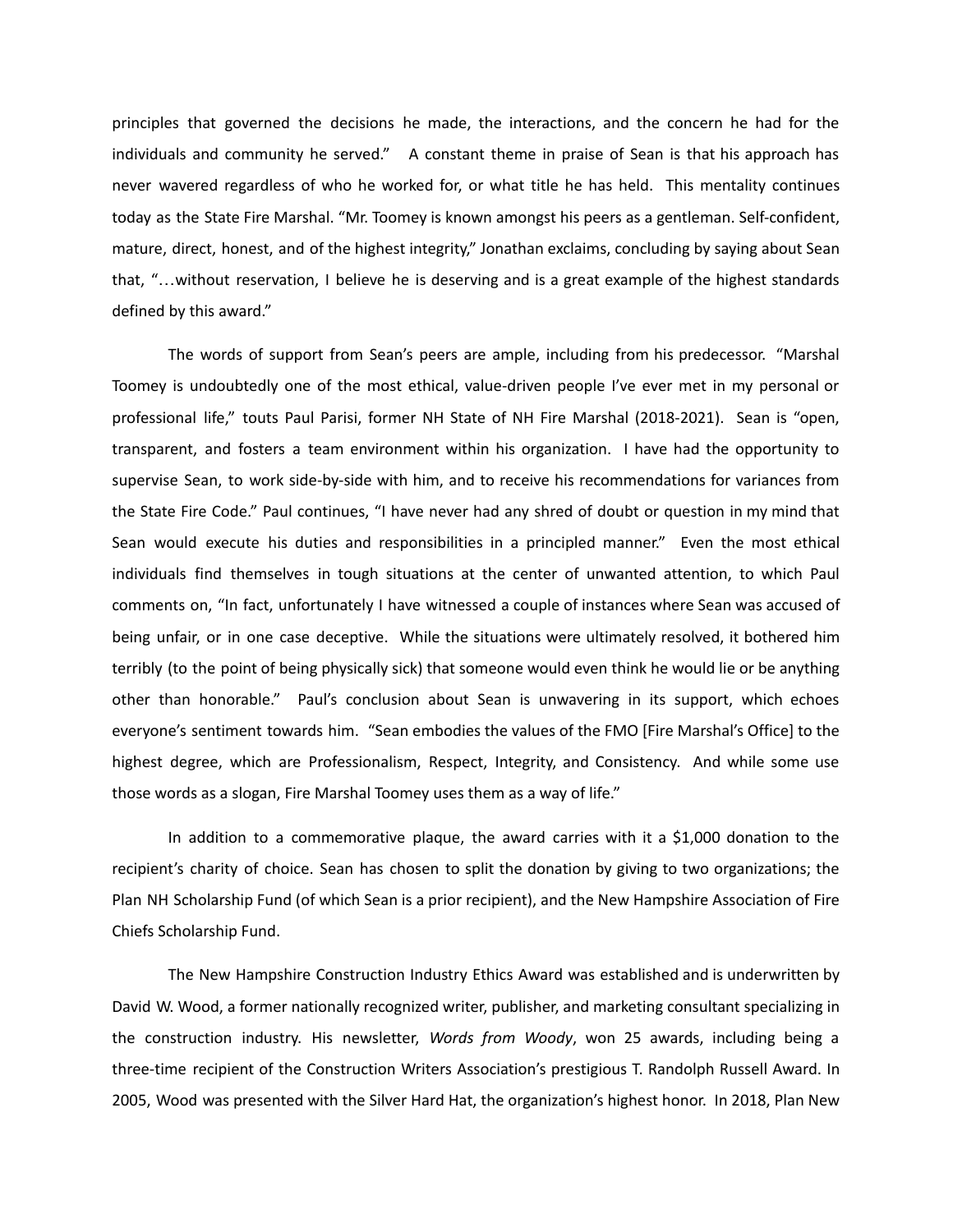principles that governed the decisions he made, the interactions, and the concern he had for the individuals and community he served." A constant theme in praise of Sean is that his approach has never wavered regardless of who he worked for, or what title he has held. This mentality continues today as the State Fire Marshal. "Mr. Toomey is known amongst his peers as a gentleman. Self-confident, mature, direct, honest, and of the highest integrity," Jonathan exclaims, concluding by saying about Sean that, "…without reservation, I believe he is deserving and is a great example of the highest standards defined by this award."

The words of support from Sean's peers are ample, including from his predecessor. "Marshal Toomey is undoubtedly one of the most ethical, value-driven people I've ever met in my personal or professional life," touts Paul Parisi, former NH State of NH Fire Marshal (2018-2021). Sean is "open, transparent, and fosters a team environment within his organization. I have had the opportunity to supervise Sean, to work side-by-side with him, and to receive his recommendations for variances from the State Fire Code." Paul continues, "I have never had any shred of doubt or question in my mind that Sean would execute his duties and responsibilities in a principled manner." Even the most ethical individuals find themselves in tough situations at the center of unwanted attention, to which Paul comments on, "In fact, unfortunately I have witnessed a couple of instances where Sean was accused of being unfair, or in one case deceptive. While the situations were ultimately resolved, it bothered him terribly (to the point of being physically sick) that someone would even think he would lie or be anything other than honorable." Paul's conclusion about Sean is unwavering in its support, which echoes everyone's sentiment towards him. "Sean embodies the values of the FMO [Fire Marshal's Office] to the highest degree, which are Professionalism, Respect, Integrity, and Consistency. And while some use those words as a slogan, Fire Marshal Toomey uses them as a way of life."

In addition to a commemorative plaque, the award carries with it a \$1,000 donation to the recipient's charity of choice. Sean has chosen to split the donation by giving to two organizations; the Plan NH Scholarship Fund (of which Sean is a prior recipient), and the New Hampshire Association of Fire Chiefs Scholarship Fund.

The New Hampshire Construction Industry Ethics Award was established and is underwritten by David W. Wood, a former nationally recognized writer, publisher, and marketing consultant specializing in the construction industry. His newsletter, *Words from Woody*, won 25 awards, including being a three-time recipient of the Construction Writers Association's prestigious T. Randolph Russell Award. In 2005, Wood was presented with the Silver Hard Hat, the organization's highest honor. In 2018, Plan New